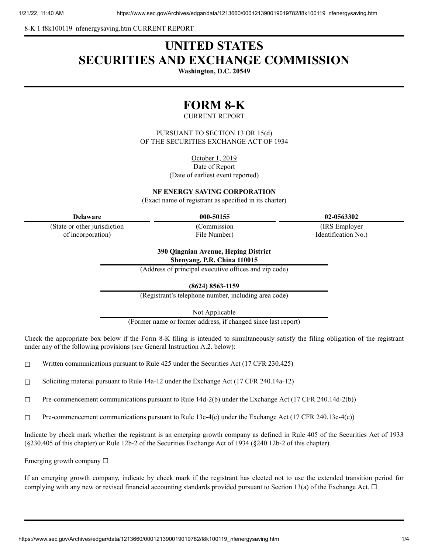8-K 1 f8k100119 nfenergysaving.htm CURRENT REPORT

# **UNITED STATES SECURITIES AND EXCHANGE COMMISSION**

**Washington, D.C. 20549**

# **FORM 8-K**

### CURRENT REPORT

PURSUANT TO SECTION 13 OR 15(d) OF THE SECURITIES EXCHANGE ACT OF 1934

October 1, 2019

Date of Report (Date of earliest event reported)

**NF ENERGY SAVING CORPORATION**

(Exact name of registrant as specified in its charter)

(State or other jurisdiction of incorporation)

(Commission

File Number)

**Delaware 000-50155 02-0563302**

(IRS Employer Identification No.)

**390 Qingnian Avenue, Heping District Shenyang, P.R. China 110015**

(Address of principal executive offices and zip code)

**(8624) 8563-1159**

(Registrant's telephone number, including area code)

Not Applicable

(Former name or former address, if changed since last report)

Check the appropriate box below if the Form 8-K filing is intended to simultaneously satisfy the filing obligation of the registrant under any of the following provisions (*see* General Instruction A.2. below):

 $\Box$  Written communications pursuant to Rule 425 under the Securities Act (17 CFR 230.425)

☐ Soliciting material pursuant to Rule 14a-12 under the Exchange Act (17 CFR 240.14a-12)

☐ Pre-commencement communications pursuant to Rule 14d-2(b) under the Exchange Act (17 CFR 240.14d-2(b))

☐ Pre-commencement communications pursuant to Rule 13e-4(c) under the Exchange Act (17 CFR 240.13e-4(c))

Indicate by check mark whether the registrant is an emerging growth company as defined in Rule 405 of the Securities Act of 1933 (§230.405 of this chapter) or Rule 12b-2 of the Securities Exchange Act of 1934 (§240.12b-2 of this chapter).

Emerging growth company ☐

If an emerging growth company, indicate by check mark if the registrant has elected not to use the extended transition period for complying with any new or revised financial accounting standards provided pursuant to Section 13(a) of the Exchange Act.  $\Box$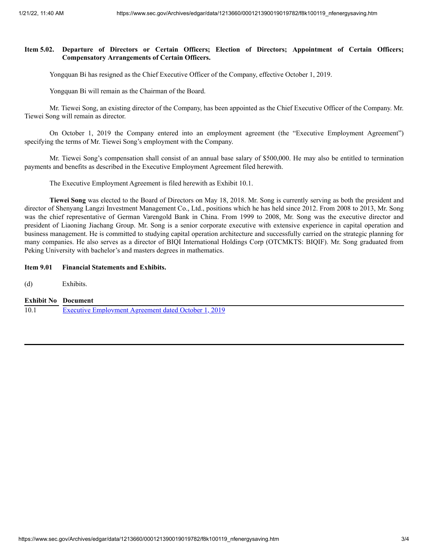### **Item 5.02. Departure of Directors or Certain Officers; Election of Directors; Appointment of Certain Officers; Compensatory Arrangements of Certain Officers.**

Yongquan Bi has resigned as the Chief Executive Officer of the Company, effective October 1, 2019.

Yongquan Bi will remain as the Chairman of the Board.

Mr. Tiewei Song, an existing director of the Company, has been appointed as the Chief Executive Officer of the Company. Mr. Tiewei Song will remain as director.

On October 1, 2019 the Company entered into an employment agreement (the "Executive Employment Agreement") specifying the terms of Mr. Tiewei Song's employment with the Company.

Mr. Tiewei Song's compensation shall consist of an annual base salary of \$500,000. He may also be entitled to termination payments and benefits as described in the Executive Employment Agreement filed herewith.

The Executive Employment Agreement is filed herewith as Exhibit 10.1.

**Tiewei Song** was elected to the Board of Directors on May 18, 2018. Mr. Song is currently serving as both the president and director of Shenyang Langzi Investment Management Co., Ltd., positions which he has held since 2012. From 2008 to 2013, Mr. Song was the chief representative of German Varengold Bank in China. From 1999 to 2008, Mr. Song was the executive director and president of Liaoning Jiachang Group. Mr. Song is a senior corporate executive with extensive experience in capital operation and business management. He is committed to studying capital operation architecture and successfully carried on the strategic planning for many companies. He also serves as a director of BIQI International Holdings Corp (OTCMKTS: BIQIF). Mr. Song graduated from Peking University with bachelor's and masters degrees in mathematics.

#### **Item 9.01 Financial Statements and Exhibits.**

(d) Exhibits.

## **Exhibit No Document**

10.1 Executive [Employment](https://www.sec.gov/Archives/edgar/data/1213660/000121390019019782/f8k100119ex10-1_nfenergy.htm) Agreement dated October 1, 2019